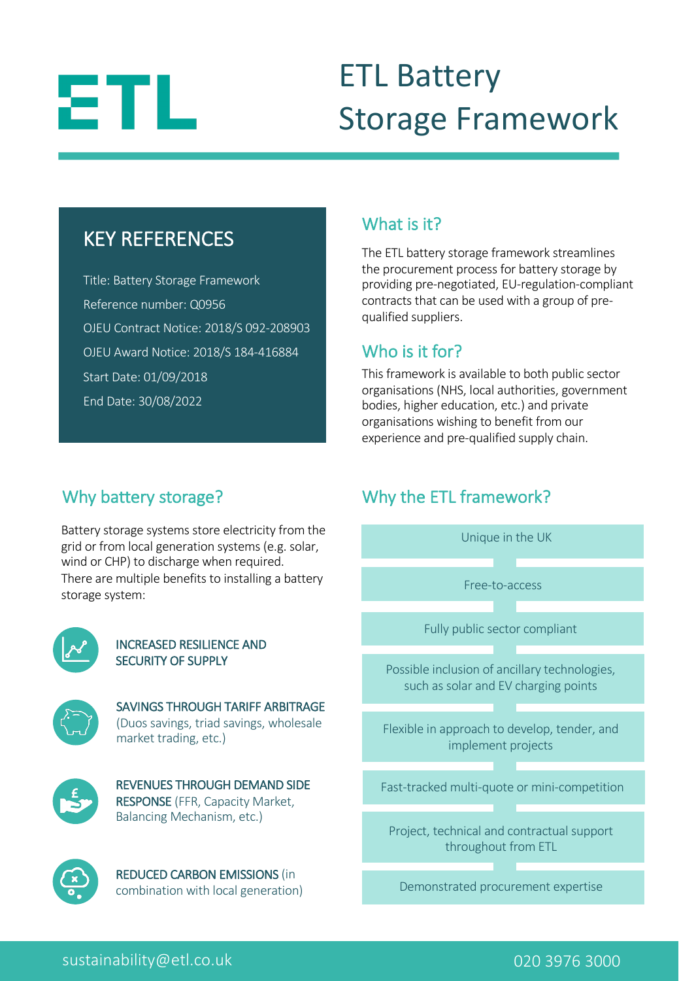# 8T L

# ETL Battery Storage Framework

## KEY REFERENCES

Title: Battery Storage Framework Reference number: Q0956 OJEU Contract Notice: 2018/S 092-208903 OJEU Award Notice: 2018/S 184-416884 Start Date: 01/09/2018 End Date: 30/08/2022

## What is it?

The ETL battery storage framework streamlines the procurement process for battery storage by providing pre-negotiated, EU-regulation-compliant contracts that can be used with a group of prequalified suppliers.

## Who is it for?

This framework is available to both public sector organisations (NHS, local authorities, government bodies, higher education, etc.) and private organisations wishing to benefit from our experience and pre-qualified supply chain.

## Why battery storage?

Battery storage systems store electricity from the grid or from local generation systems (e.g. solar, wind or CHP) to discharge when required. There are multiple benefits to installing a battery storage system:



### INCREASED RESILIENCE AND SECURITY OF SUPPLY



SAVINGS THROUGH TARIFF ARBITRAGE (Duos savings, triad savings, wholesale market trading, etc.)



REVENUES THROUGH DEMAND SIDE RESPONSE (FFR, Capacity Market, Balancing Mechanism, etc.)



REDUCED CARBON EMISSIONS (in combination with local generation)

## Why the ETL framework?



sustainability@etl.co.uk 020 3976 3000